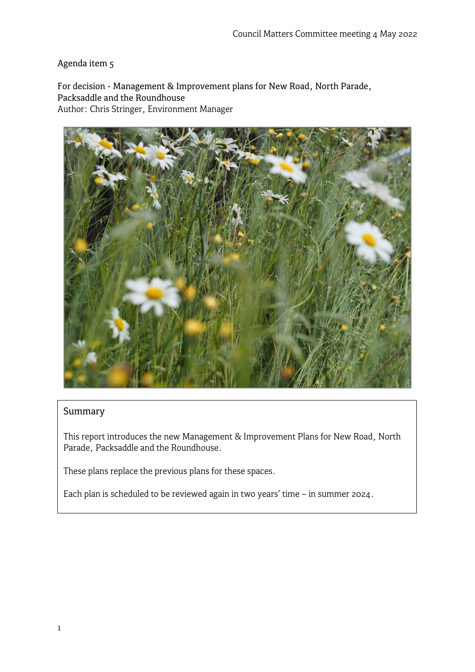Agenda item 5

For decision - Management & Improvement plans for New Road, North Parade, Packsaddle and the Roundhouse Author: Chris Stringer, Environment Manager



# Summary

This report introduces the new Management & Improvement Plans for New Road, North Parade, Packsaddle and the Roundhouse.

These plans replace the previous plans for these spaces.

Each plan is scheduled to be reviewed again in two years' time – in summer 2024.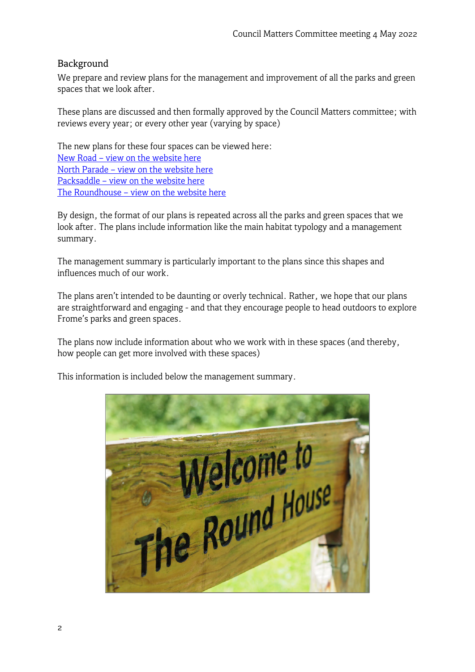## Background

We prepare and review plans for the management and improvement of all the parks and green spaces that we look after.

These plans are discussed and then formally approved by the Council Matters committee; with reviews every year; or every other year (varying by space)

The new plans for these four spaces can be viewed here: New Road – [view on the website here](https://www.frometowncouncil.gov.uk/wp-content/uploads/2022/04/New-Road-management-plan-May-2022.jpg) North Parade – [view on the website here](https://www.frometowncouncil.gov.uk/wp-content/uploads/2022/04/North-Parade-management-plan-May-2022.jpg) Packsaddle – [view on the website here](https://www.frometowncouncil.gov.uk/wp-content/uploads/2022/04/Packsaddle-management-plan-May-2022.jpg) The Roundhouse – [view on the website here](https://www.frometowncouncil.gov.uk/wp-content/uploads/2022/04/The-Roundhouse-management-plan-May-2022.jpg)

By design, the format of our plans is repeated across all the parks and green spaces that we look after. The plans include information like the main habitat typology and a management summary.

The management summary is particularly important to the plans since this shapes and influences much of our work.

The plans aren't intended to be daunting or overly technical. Rather, we hope that our plans are straightforward and engaging - and that they encourage people to head outdoors to explore Frome's parks and green spaces.

The plans now include information about who we work with in these spaces (and thereby, how people can get more involved with these spaces)

This information is included below the management summary.

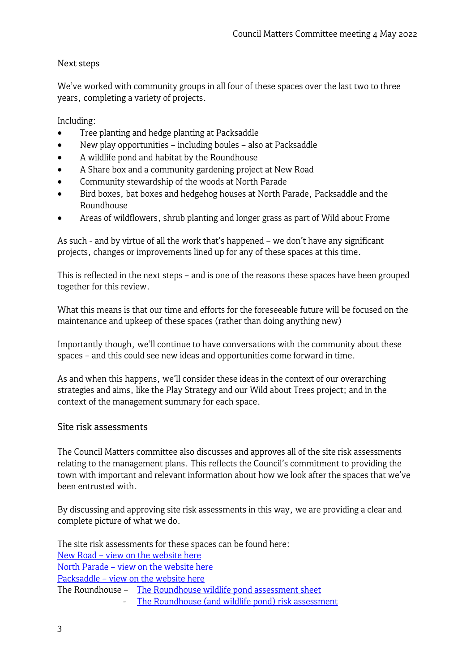## Next steps

We've worked with community groups in all four of these spaces over the last two to three years, completing a variety of projects.

Including:

- Tree planting and hedge planting at Packsaddle
- New play opportunities including boules also at Packsaddle
- A wildlife pond and habitat by the Roundhouse
- A Share box and a community gardening project at New Road
- Community stewardship of the woods at North Parade
- Bird boxes, bat boxes and hedgehog houses at North Parade, Packsaddle and the Roundhouse
- Areas of wildflowers, shrub planting and longer grass as part of Wild about Frome

As such - and by virtue of all the work that's happened – we don't have any significant projects, changes or improvements lined up for any of these spaces at this time.

This is reflected in the next steps – and is one of the reasons these spaces have been grouped together for this review.

What this means is that our time and efforts for the foreseeable future will be focused on the maintenance and upkeep of these spaces (rather than doing anything new)

Importantly though, we'll continue to have conversations with the community about these spaces – and this could see new ideas and opportunities come forward in time.

As and when this happens, we'll consider these ideas in the context of our overarching strategies and aims, like the Play Strategy and our Wild about Trees project; and in the context of the management summary for each space.

### Site risk assessments

The Council Matters committee also discusses and approves all of the site risk assessments relating to the management plans. This reflects the Council's commitment to providing the town with important and relevant information about how we look after the spaces that we've been entrusted with.

By discussing and approving site risk assessments in this way, we are providing a clear and complete picture of what we do.

The site risk assessments for these spaces can be found here: New Road – [view on the website](https://www.frometowncouncil.gov.uk/wp-content/uploads/2022/04/Site-risk-assessment-for-New-Road-play-area-May-2022.pdf) here North Parade – [view on the website here](https://www.frometowncouncil.gov.uk/wp-content/uploads/2022/04/Site-risk-assessment-for-North-Parade-May-2022.pdf) Packsaddle – [view on the website here](https://www.frometowncouncil.gov.uk/wp-content/uploads/2022/04/Site-risk-assessment-for-Packsaddle-play-area-May-2022.pdf) The Roundhouse – [The Roundhouse wildlife pond assessment](https://www.frometowncouncil.gov.uk/wp-content/uploads/2022/04/Pond-risk-management-The-Roundhouse-wildlife-pond-February-2022.pdf) sheet - [The Roundhouse \(and wildlife pond\) risk assessment](https://www.frometowncouncil.gov.uk/wp-content/uploads/2022/04/Site-risk-assessment-for-The-Roundhouse-and-the-wildlife-pond-May-2022-1.pdf)